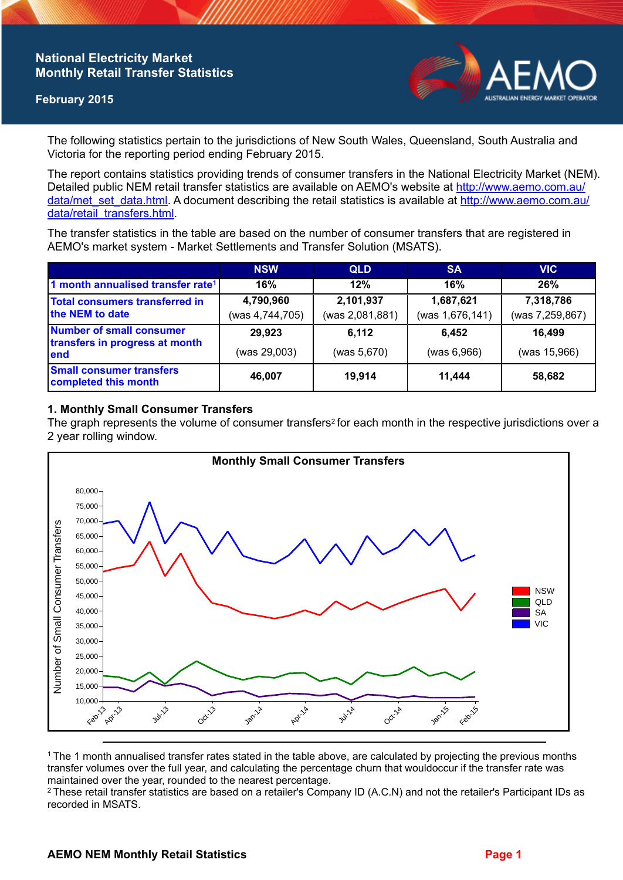# **National Electricity Market Monthly Retail Transfer Statistics**

## **February 2015**



The following statistics pertain to the jurisdictions of New South Wales, Queensland, South Australia and Victoria for the reporting period ending February 2015.

The report contains statistics providing trends of consumer transfers in the National Electricity Market (NEM). Detailed public NEM retail transfer statistics are available on AEMO's website at [http://www.aemo.com.au/](http://www.aemo.com.au/data/met_set_data.html) [data/met\\_set\\_data.html](http://www.aemo.com.au/data/met_set_data.html). A document describing the retail statistics is available at [http://www.aemo.com.au/](http://www.aemo.com.au/data/retail_transfers.html) [data/retail\\_transfers.html](http://www.aemo.com.au/data/retail_transfers.html).

The transfer statistics in the table are based on the number of consumer transfers that are registered in AEMO's market system - Market Settlements and Transfer Solution (MSATS).

|                                                                           | <b>NSW</b>                   | <b>QLD</b>                   | <b>SA</b>                    | <b>VIC</b>                   |
|---------------------------------------------------------------------------|------------------------------|------------------------------|------------------------------|------------------------------|
| 1 month annualised transfer rate <sup>1</sup>                             | 16%                          | 12%                          | 16%                          | 26%                          |
| Total consumers transferred in<br>the NEM to date                         | 4,790,960<br>(was 4,744,705) | 2,101,937<br>(was 2,081,881) | 1,687,621<br>(was 1,676,141) | 7,318,786<br>(was 7,259,867) |
| <b>Number of small consumer</b><br>transfers in progress at month<br>lend | 29,923<br>(was 29,003)       | 6,112<br>(was 5,670)         | 6.452<br>(was 6,966)         | 16,499<br>(was 15,966)       |
| <b>Small consumer transfers</b><br>completed this month                   | 46.007                       | 19,914                       | 11.444                       | 58,682                       |

### **1. Monthly Small Consumer Transfers**

The graph represents the volume of consumer transfers<sup>2</sup> for each month in the respective jurisdictions over a 2 year rolling window.



<sup>1</sup>The 1 month annualised transfer rates stated in the table above, are calculated by projecting the previous months transfer volumes over the full year, and calculating the percentage churn that wouldoccur if the transfer rate was maintained over the year, rounded to the nearest percentage.

<sup>2</sup> These retail transfer statistics are based on a retailer's Company ID (A.C.N) and not the retailer's Participant IDs as recorded in MSATS.